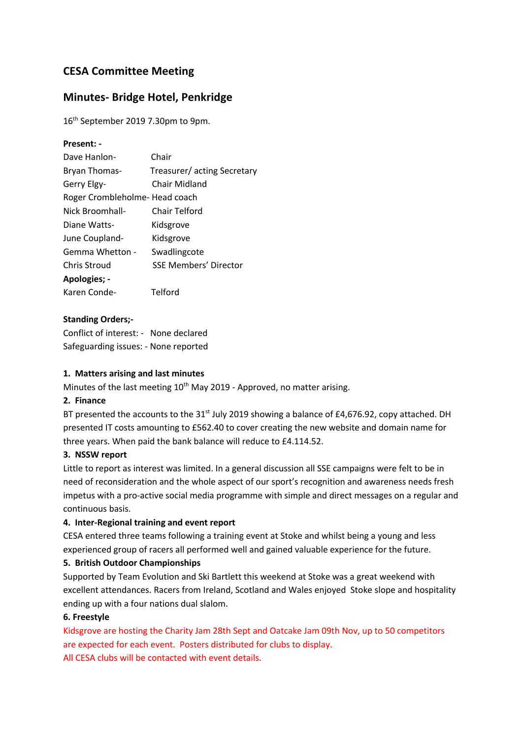# **CESA Committee Meeting**

## **Minutes- Bridge Hotel, Penkridge**

16<sup>th</sup> September 2019 7.30pm to 9pm.

#### **Present: -**

| Dave Hanlon-                   | Chair                        |
|--------------------------------|------------------------------|
| Bryan Thomas-                  | Treasurer/ acting Secretary  |
| Gerry Elgy-                    | Chair Midland                |
| Roger Crombleholme- Head coach |                              |
| Nick Broomhall-                | Chair Telford                |
| Diane Watts-                   | Kidsgrove                    |
| June Coupland-                 | Kidsgrove                    |
| Gemma Whetton -                | Swadlingcote                 |
| Chris Stroud                   | <b>SSE Members' Director</b> |
| Apologies; -                   |                              |
| Karen Conde-                   | Telford                      |
|                                |                              |

#### **Standing Orders;-**

Conflict of interest: - None declared Safeguarding issues: - None reported

#### **1. Matters arising and last minutes**

Minutes of the last meeting  $10^{th}$  May 2019 - Approved, no matter arising.

#### **2. Finance**

BT presented the accounts to the  $31^{st}$  July 2019 showing a balance of £4,676.92, copy attached. DH presented IT costs amounting to £562.40 to cover creating the new website and domain name for three years. When paid the bank balance will reduce to £4.114.52.

#### **3. NSSW report**

Little to report as interest was limited. In a general discussion all SSE campaigns were felt to be in need of reconsideration and the whole aspect of our sport's recognition and awareness needs fresh impetus with a pro-active social media programme with simple and direct messages on a regular and continuous basis.

#### **4. Inter-Regional training and event report**

CESA entered three teams following a training event at Stoke and whilst being a young and less experienced group of racers all performed well and gained valuable experience for the future.

#### **5. British Outdoor Championships**

Supported by Team Evolution and Ski Bartlett this weekend at Stoke was a great weekend with excellent attendances. Racers from Ireland, Scotland and Wales enjoyed Stoke slope and hospitality ending up with a four nations dual slalom.

#### **6. Freestyle**

Kidsgrove are hosting the Charity Jam 28th Sept and Oatcake Jam 09th Nov, up to 50 competitors are expected for each event. Posters distributed for clubs to display. All CESA clubs will be contacted with event details.